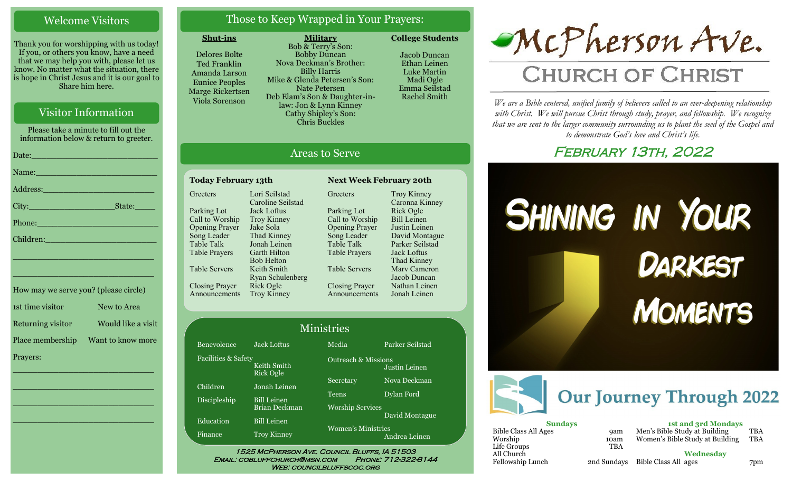## Welcome Visitors

Thank you for worshipping with us today! If you, or others you know, have a need that we may help you with, please let us know. No matter what the situation, there is hope in Christ Jesus and it is our goal to Share him here.

## Visitor Information

Please take a minute to fill out the information below & return to greeter.

| Name: Name and the second contract of the second contract of the second contract of the second contract of the                                                                                                                |
|-------------------------------------------------------------------------------------------------------------------------------------------------------------------------------------------------------------------------------|
|                                                                                                                                                                                                                               |
| $\textrm{City:}\_$                                                                                                                                                                                                            |
|                                                                                                                                                                                                                               |
| Children: New York Children                                                                                                                                                                                                   |
| the control of the control of the control of the control of the control of the control of the control of the control of the control of the control of the control of the control of the control of the control of the control |

| How may we serve you? (please circle) |                    |
|---------------------------------------|--------------------|
| 1st time visitor                      | New to Area        |
| Returning visitor                     | Would like a visit |
| Place membership                      | Want to know more  |
| Prayers:                              |                    |

\_\_\_\_\_\_\_\_\_\_\_\_\_\_\_\_\_\_\_\_\_\_\_\_\_\_\_\_

 $\overline{\phantom{a}}$  , and the set of the set of the set of the set of the set of the set of the set of the set of the set of the set of the set of the set of the set of the set of the set of the set of the set of the set of the s

 $\overline{\phantom{a}}$  , and the set of the set of the set of the set of the set of the set of the set of the set of the set of the set of the set of the set of the set of the set of the set of the set of the set of the set of the s

\_\_\_\_\_\_\_\_\_\_\_\_\_\_\_\_\_\_\_\_\_\_\_\_\_\_\_\_

\_\_\_\_\_\_\_\_\_\_\_\_\_\_\_\_\_\_\_\_\_\_\_\_\_\_\_\_

## Those to Keep Wrapped in Your Prayers:

**Military**

#### **Shut-ins**

Delores Bolte Ted Franklin Amanda Larson Eunice Peoples Marge Rickertsen Viola Sorenson

**Greeters** 

Parking Lot Call to Worship Opening Prayer Song Leader Table Talk Table Prayers

Table Servers

Closing Prayer Announcements

Bob & Terry's Son: Bobby Duncan Nova Deckman's Brother: Billy Harris Mike & Glenda Petersen's Son: Nate Petersen Deb Elam's Son & Daughter-inlaw: Jon & Lynn Kinney Cathy Shipley's Son: Chris Buckles

Areas to Serve

**Greeters** 

Parking Lot Call to Worship Opening Prayer Song Leader Table Talk Table Prayers

Table Servers

Closing Prayer Announcements

**Today February 13th Next Week February 20th**

Lori Seilstad Caroline Seilstad Jack Loftus Troy Kinney Jake Sola Thad Kinney Jonah Leinen Garth Hilton Bob Helton Keith Smith Ryan Schulenberg

Rick Ogle Troy Kinney Jacob Duncan Ethan Leinen Luke Martin Madi Ogle

Emma Seilstad Rachel Smith

**College Students** 



# **CHURCH OF CHRIST**

*We are a Bible centered, unified family of believers called to an ever-deepening relationship*  with Christ. We will pursue Christ through study, prayer, and fellowship. We recognize *that we are sent to the larger community surrounding us to plant the seed of the Gospel and to demonstrate God's love and Christ's life.*

# February 13th, 2022





| <b>Sundays</b>              |            | <b>1st and 3rd Mondays</b>       |     |
|-----------------------------|------------|----------------------------------|-----|
| <b>Bible Class All Ages</b> | <b>9am</b> | Men's Bible Study at Building    | TBA |
| Worship                     | 10am       | Women's Bible Study at Building  | TBA |
| Life Groups                 | <b>TBA</b> |                                  |     |
| All Church                  |            | Wednesdav                        |     |
| Fellowship Lunch            |            | 2nd Sundays Bible Class All ages | 7pm |

| <b>1st and 3rd Mondays</b>      |            |
|---------------------------------|------------|
| Men's Bible Study at Building   | <b>TBA</b> |
| Women's Bible Study at Building | <b>TBA</b> |
|                                 |            |

Facilities & Safety Keith Smith Rick Ogle Children Jonah Leinen Discipleship Bill Leinen Brian Deckman

Education Bill Leinen

Benevolence Jack Loftus

Finance Troy Kinney

Women's Ministries

1525 McPherson Ave. Council Bluffs, IA 51503 Email: cobluffchurch@msn.com Phone: 712-322-8144

Worship Services

Media Parker Seilstad

Secretary Nova Deckman Teens Dylan Ford

Justin Leinen

Troy Kinney Caronna Kinney Rick Ogle Bill Leinen Justin Leinen David Montague Parker Seilstad Jack Loftus Thad Kinney Marv Cameron Jacob Duncan Nathan Leinen Jonah Leinen

David Montague

Andrea Leinen

Outreach & Missions

WEB: COUNCILBLUFFSCOC.ORG

Ministries